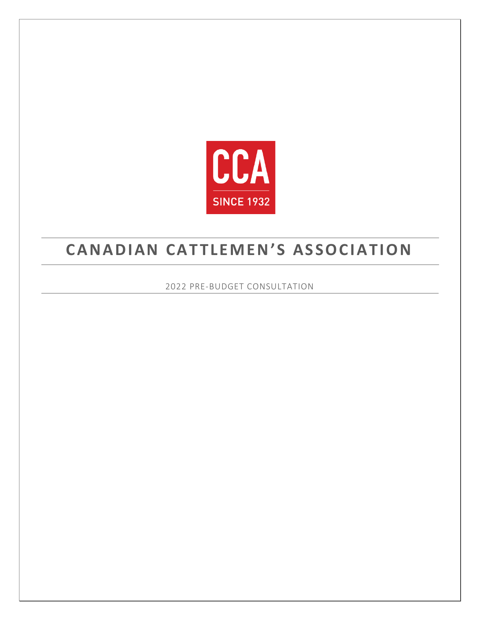

# **CANADIAN CATTLEMEN'S ASSOCIATION**

2022 PRE-BUDGET CONSULTATION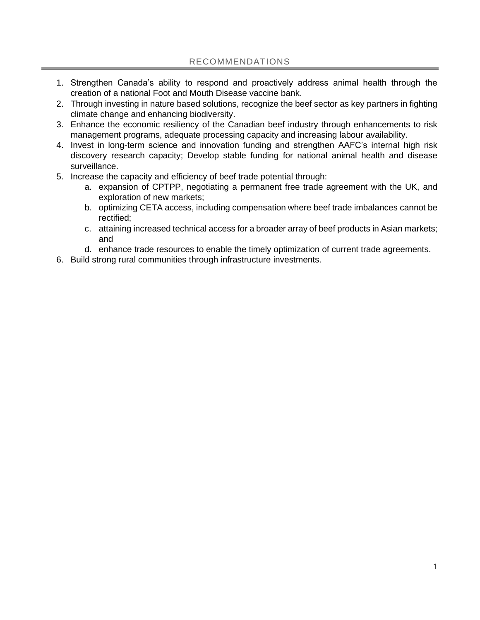- 1. Strengthen Canada's ability to respond and proactively address animal health through the creation of a national Foot and Mouth Disease vaccine bank.
- 2. Through investing in nature based solutions, recognize the beef sector as key partners in fighting climate change and enhancing biodiversity.
- 3. Enhance the economic resiliency of the Canadian beef industry through enhancements to risk management programs, adequate processing capacity and increasing labour availability.
- 4. Invest in long-term science and innovation funding and strengthen AAFC's internal high risk discovery research capacity; Develop stable funding for national animal health and disease surveillance.
- 5. Increase the capacity and efficiency of beef trade potential through:
	- a. expansion of CPTPP, negotiating a permanent free trade agreement with the UK, and exploration of new markets;
	- b. optimizing CETA access, including compensation where beef trade imbalances cannot be rectified;
	- c. attaining increased technical access for a broader array of beef products in Asian markets; and
	- d. enhance trade resources to enable the timely optimization of current trade agreements.
- 6. Build strong rural communities through infrastructure investments.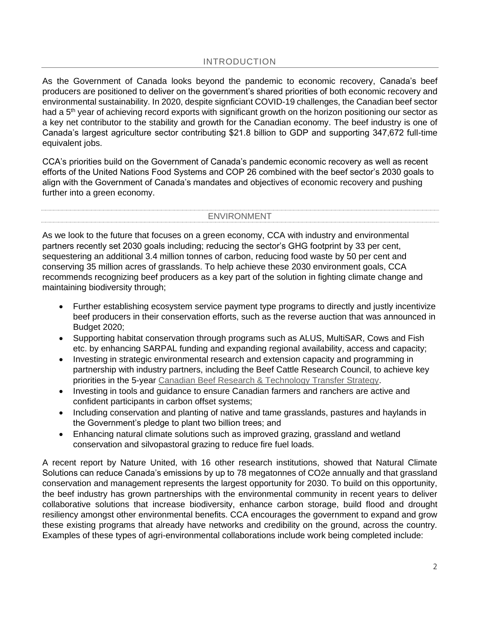# INTRODUCTION

As the Government of Canada looks beyond the pandemic to economic recovery, Canada's beef producers are positioned to deliver on the government's shared priorities of both economic recovery and environmental sustainability. In 2020, despite signficiant COVID-19 challenges, the Canadian beef sector had a 5<sup>th</sup> year of achieving record exports with significant growth on the horizon positioning our sector as a key net contributor to the stability and growth for the Canadian economy. The beef industry is one of Canada's largest agriculture sector contributing \$21.8 billion to GDP and supporting 347,672 full-time equivalent jobs.

CCA's priorities build on the Government of Canada's pandemic economic recovery as well as recent efforts of the United Nations Food Systems and COP 26 combined with the beef sector's 2030 goals to align with the Government of Canada's mandates and objectives of economic recovery and pushing further into a green economy.

#### ENVIRONMENT

As we look to the future that focuses on a green economy, CCA with industry and environmental partners recently set 2030 goals including; reducing the sector's GHG footprint by 33 per cent, sequestering an additional 3.4 million tonnes of carbon, reducing food waste by 50 per cent and conserving 35 million acres of grasslands. To help achieve these 2030 environment goals, CCA recommends recognizing beef producers as a key part of the solution in fighting climate change and maintaining biodiversity through;

- Further establishing ecosystem service payment type programs to directly and justly incentivize beef producers in their conservation efforts, such as the reverse auction that was announced in Budget 2020;
- Supporting habitat conservation through programs such as ALUS, MultiSAR, Cows and Fish etc. by enhancing SARPAL funding and expanding regional availability, access and capacity;
- Investing in strategic environmental research and extension capacity and programming in partnership with industry partners, including the Beef Cattle Research Council, to achieve key priorities in the 5-year [Canadian Beef Research & Technology Transfer Strategy.](https://www.beefresearch.ca/files/pdf/Overview_of_Five_Year_Canadian_Beef_Research_and_Technology_Strategy_July_2021.pdf)
- Investing in tools and guidance to ensure Canadian farmers and ranchers are active and confident participants in carbon offset systems;
- Including conservation and planting of native and tame grasslands, pastures and haylands in the Government's pledge to plant two billion trees; and
- Enhancing natural climate solutions such as improved grazing, grassland and wetland conservation and silvopastoral grazing to reduce fire fuel loads.

A recent report by Nature United, with 16 other research institutions, showed that Natural Climate Solutions can reduce Canada's emissions by up to 78 megatonnes of CO2e annually and that grassland conservation and management represents the largest opportunity for 2030. To build on this opportunity, the beef industry has grown partnerships with the environmental community in recent years to deliver collaborative solutions that increase biodiversity, enhance carbon storage, build flood and drought resiliency amongst other environmental benefits. CCA encourages the government to expand and grow these existing programs that already have networks and credibility on the ground, across the country. Examples of these types of agri-environmental collaborations include work being completed include: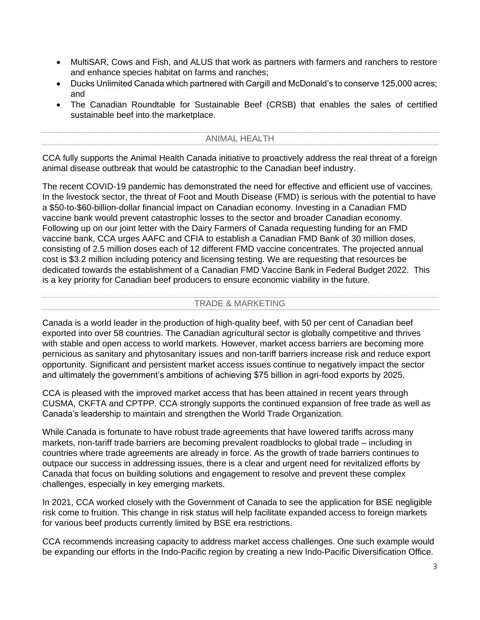- MultiSAR, Cows and Fish, and ALUS that work as partners with farmers and ranchers to restore and enhance species habitat on farms and ranches;
- Ducks Unlimited Canada which partnered with Cargill and McDonald's to conserve 125,000 acres; and
- The Canadian Roundtable for Sustainable Beef (CRSB) that enables the sales of certified sustainable beef into the marketplace.

## ANIMAL HEALTH

CCA fully supports the Animal Health Canada initiative to proactively address the real threat of a foreign animal disease outbreak that would be catastrophic to the Canadian beef industry.

The recent COVID-19 pandemic has demonstrated the need for effective and efficient use of vaccines. In the livestock sector, the threat of Foot and Mouth Disease (FMD) is serious with the potential to have a \$50-to-\$60-billion-dollar financial impact on Canadian economy. Investing in a Canadian FMD vaccine bank would prevent catastrophic losses to the sector and broader Canadian economy. Following up on our joint letter with the Dairy Farmers of Canada requesting funding for an FMD vaccine bank, CCA urges AAFC and CFIA to establish a Canadian FMD Bank of 30 million doses, consisting of 2.5 million doses each of 12 different FMD vaccine concentrates. The projected annual cost is \$3.2 million including potency and licensing testing. We are requesting that resources be dedicated towards the establishment of a Canadian FMD Vaccine Bank in Federal Budget 2022. This is a key priority for Canadian beef producers to ensure economic viability in the future.

## TRADE & MARKETING

Canada is a world leader in the production of high-quality beef, with 50 per cent of Canadian beef exported into over 58 countries. The Canadian agricultural sector is globally competitive and thrives with stable and open access to world markets. However, market access barriers are becoming more pernicious as sanitary and phytosanitary issues and non-tariff barriers increase risk and reduce export opportunity. Significant and persistent market access issues continue to negatively impact the sector and ultimately the government's ambitions of achieving \$75 billion in agri-food exports by 2025.

CCA is pleased with the improved market access that has been attained in recent years through CUSMA, CKFTA and CPTPP. CCA strongly supports the continued expansion of free trade as well as Canada's leadership to maintain and strengthen the World Trade Organization.

While Canada is fortunate to have robust trade agreements that have lowered tariffs across many markets, non-tariff trade barriers are becoming prevalent roadblocks to global trade – including in countries where trade agreements are already in force. As the growth of trade barriers continues to outpace our success in addressing issues, there is a clear and urgent need for revitalized efforts by Canada that focus on building solutions and engagement to resolve and prevent these complex challenges, especially in key emerging markets.

In 2021, CCA worked closely with the Government of Canada to see the application for BSE negligible risk come to fruition. This change in risk status will help facilitate expanded access to foreign markets for various beef products currently limited by BSE era restrictions.

CCA recommends increasing capacity to address market access challenges. One such example would be expanding our efforts in the Indo-Pacific region by creating a new Indo-Pacific Diversification Office.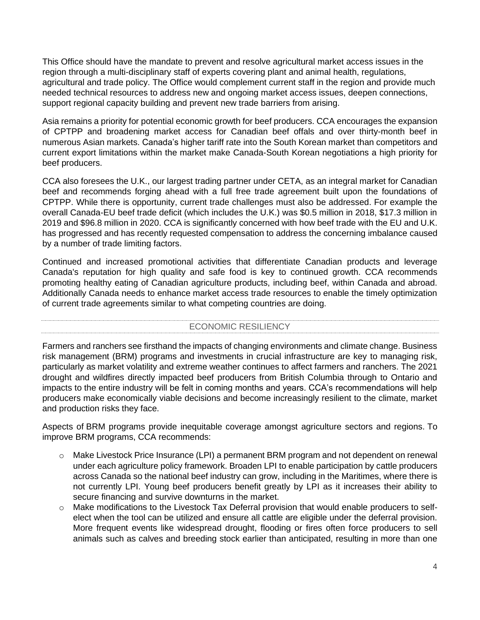This Office should have the mandate to prevent and resolve agricultural market access issues in the region through a multi-disciplinary staff of experts covering plant and animal health, regulations, agricultural and trade policy. The Office would complement current staff in the region and provide much needed technical resources to address new and ongoing market access issues, deepen connections, support regional capacity building and prevent new trade barriers from arising.

Asia remains a priority for potential economic growth for beef producers. CCA encourages the expansion of CPTPP and broadening market access for Canadian beef offals and over thirty-month beef in numerous Asian markets. Canada's higher tariff rate into the South Korean market than competitors and current export limitations within the market make Canada-South Korean negotiations a high priority for beef producers.

CCA also foresees the U.K., our largest trading partner under CETA, as an integral market for Canadian beef and recommends forging ahead with a full free trade agreement built upon the foundations of CPTPP. While there is opportunity, current trade challenges must also be addressed. For example the overall Canada-EU beef trade deficit (which includes the U.K.) was \$0.5 million in 2018, \$17.3 million in 2019 and \$96.8 million in 2020. CCA is significantly concerned with how beef trade with the EU and U.K. has progressed and has recently requested compensation to address the concerning imbalance caused by a number of trade limiting factors.

Continued and increased promotional activities that differentiate Canadian products and leverage Canada's reputation for high quality and safe food is key to continued growth. CCA recommends promoting healthy eating of Canadian agriculture products, including beef, within Canada and abroad. Additionally Canada needs to enhance market access trade resources to enable the timely optimization of current trade agreements similar to what competing countries are doing.

### ECONOMIC RESILIENCY

Farmers and ranchers see firsthand the impacts of changing environments and climate change. Business risk management (BRM) programs and investments in crucial infrastructure are key to managing risk, particularly as market volatility and extreme weather continues to affect farmers and ranchers. The 2021 drought and wildfires directly impacted beef producers from British Columbia through to Ontario and impacts to the entire industry will be felt in coming months and years. CCA's recommendations will help producers make economically viable decisions and become increasingly resilient to the climate, market and production risks they face.

Aspects of BRM programs provide inequitable coverage amongst agriculture sectors and regions. To improve BRM programs, CCA recommends:

- o Make Livestock Price Insurance (LPI) a permanent BRM program and not dependent on renewal under each agriculture policy framework. Broaden LPI to enable participation by cattle producers across Canada so the national beef industry can grow, including in the Maritimes, where there is not currently LPI. Young beef producers benefit greatly by LPI as it increases their ability to secure financing and survive downturns in the market.
- o Make modifications to the Livestock Tax Deferral provision that would enable producers to selfelect when the tool can be utilized and ensure all cattle are eligible under the deferral provision. More frequent events like widespread drought, flooding or fires often force producers to sell animals such as calves and breeding stock earlier than anticipated, resulting in more than one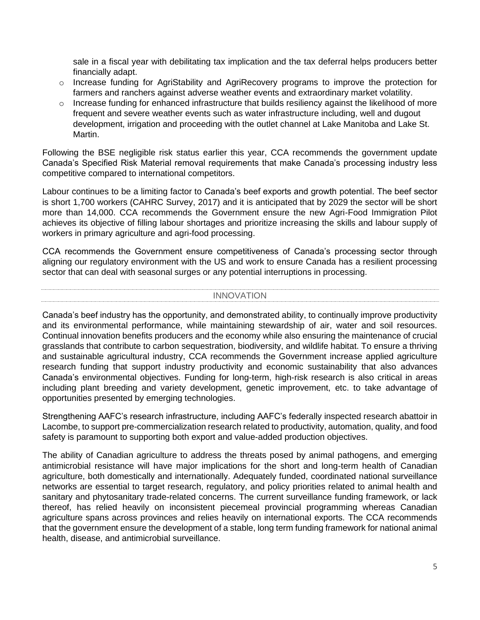sale in a fiscal year with debilitating tax implication and the tax deferral helps producers better financially adapt.

- o Increase funding for AgriStability and AgriRecovery programs to improve the protection for farmers and ranchers against adverse weather events and extraordinary market volatility.
- o Increase funding for enhanced infrastructure that builds resiliency against the likelihood of more frequent and severe weather events such as water infrastructure including, well and dugout development, irrigation and proceeding with the outlet channel at Lake Manitoba and Lake St. Martin.

Following the BSE negligible risk status earlier this year, CCA recommends the government update Canada's Specified Risk Material removal requirements that make Canada's processing industry less competitive compared to international competitors.

Labour continues to be a limiting factor to Canada's beef exports and growth potential. The beef sector is short 1,700 workers (CAHRC Survey, 2017) and it is anticipated that by 2029 the sector will be short more than 14,000. CCA recommends the Government ensure the new Agri-Food Immigration Pilot achieves its objective of filling labour shortages and prioritize increasing the skills and labour supply of workers in primary agriculture and agri-food processing.

CCA recommends the Government ensure competitiveness of Canada's processing sector through aligning our regulatory environment with the US and work to ensure Canada has a resilient processing sector that can deal with seasonal surges or any potential interruptions in processing.

### INNOVATION

Canada's beef industry has the opportunity, and demonstrated ability, to continually improve productivity and its environmental performance, while maintaining stewardship of air, water and soil resources. Continual innovation benefits producers and the economy while also ensuring the maintenance of crucial grasslands that contribute to carbon sequestration, biodiversity, and wildlife habitat. To ensure a thriving and sustainable agricultural industry, CCA recommends the Government increase applied agriculture research funding that support industry productivity and economic sustainability that also advances Canada's environmental objectives. Funding for long-term, high-risk research is also critical in areas including plant breeding and variety development, genetic improvement, etc. to take advantage of opportunities presented by emerging technologies.

Strengthening AAFC's research infrastructure, including AAFC's federally inspected research abattoir in Lacombe, to support pre-commercialization research related to productivity, automation, quality, and food safety is paramount to supporting both export and value-added production objectives.

The ability of Canadian agriculture to address the threats posed by animal pathogens, and emerging antimicrobial resistance will have major implications for the short and long-term health of Canadian agriculture, both domestically and internationally. Adequately funded, coordinated national surveillance networks are essential to target research, regulatory, and policy priorities related to animal health and sanitary and phytosanitary trade-related concerns. The current surveillance funding framework, or lack thereof, has relied heavily on inconsistent piecemeal provincial programming whereas Canadian agriculture spans across provinces and relies heavily on international exports. The CCA recommends that the government ensure the development of a stable, long term funding framework for national animal health, disease, and antimicrobial surveillance.